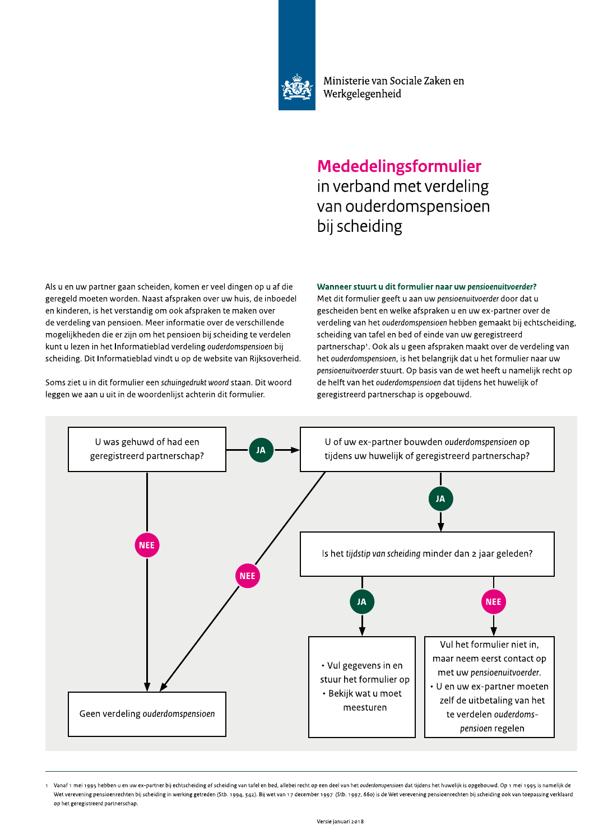

Soms ziet u in dit formulier een schuingedrukt woord staan. Dit woord leggen we aan u uit in de woordenlijst achterin dit formulier.

Wanneer stuurt u dit formulier naar uw pensioenuitvoerder?

 !"#\$% #&' "()# #(\$\*+\*( !,\*-.#' /01232452362789:5492;88521<=4>?45@2ABC452492D4402?>5;452B72328E2?>42 ;494;40?2CB4:4526B9?45F2G881:28E1798A452BD492362=3>1@2?42>5HB4?402 452A>5?4945@2>12=4:2D491:85?>;2BC2BBA28E1798A452:42C8A452BD492 ?42D49?40>5;2D8527451>B45F2I4492>5EB9C8:>42BD492?42D491<=>0045?42 CB;40>JA=4?452?>42492K>J52BC2=4:27451>B452H>J21<=4>?>5;2:42D49?40452 A35:23204K452>52=4:2L5EB9C8:>4H08?2D49?40>5;2MNOPQOMRSTPUSVMPU2H>J2 1<=4>?>5;F2W>:2L5EB9C8:>4H08?2D>5?:232B72?4264H1>:42D852X>JA1BD49=4>?F22 <sup>2</sup> Met dit formulier geeft u aan uw pensioenuitvoerder door dat u gescheiden bent en welke afspraken u en uw ex-partner over de verdeling van het ouderdomspensioen hebben gemaakt bij echtscheiding, scheiding van tafel en bed of einde van uw geregistreerd partnerschap<sup>1</sup>. Ook als u geen afspraken maakt over de verdeling van het ouderdomspensioen, is het belangrijk dat u het formulier naar uw pensioenuitvoerder stuurt. Op basis van de wet heeft u namelijk recht op de helft van het ouderdomspensioen dat tijdens het huwelijk of geregistreerd partnerschap is opgebouwd.



Vanaf 1 mei 1995 hebben u en uw ex-partner bii echtscheiding of scheiding van tafel en bed. allebei recht op een deel van het ouderdomspensioen dat tiidens het huweliik is opgebouwd. Op 1 mei 1995 is nameliik de Wet verevening pensioenrechten bij scheiding in werking getreden (Stb. 1994, 342). Bij wet van 17 december 1997 (Stb. 1997, 660) is de Wet verevening pensioenrechten bij scheiding ook van toepassing verklaard op het geregistreerd partnerschap.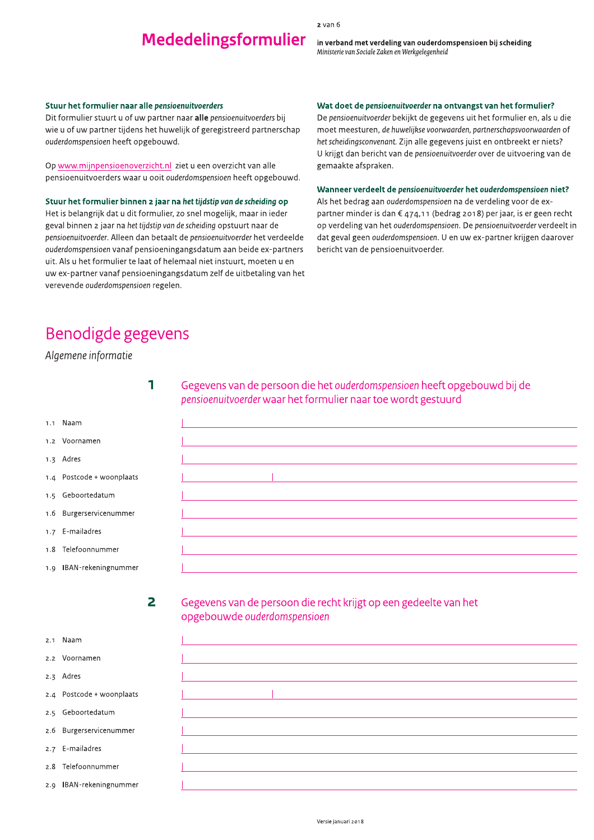2 van 6

in verband met verdeling van ouderdomspensioen bij scheid

#### Stuur het formulier naar alle pensioenuitvoerders

Dit formulier stuurt u of uw partner haar **alle** pensioenuitvoerders bij wie u of uw partner tijdens het huwelijk of geregistreerd partnerschap ouderdomspensioen heeft opgebouwd.

Op <u>www.mijnpensioenoverzicht.nl</u>\_ziet u een overzicht van alle pensioenuitvoerders waar u ooit *ouderdomspensioen* heeft opgebouwd.

### Stuur het formulier binnen 2 jaar ha het tijdstip van de scheiding op

Het is belangrijk dat u dit formulier, zo snel mogelijk, maar in ieder geval binnen 2 jaar na het tijdstip van de scheiding opstuurt haar de pensioenuitvoerder. Alleen dan betaalt de pensioenuitvoerder het verdeelde ouderdomspensioen vanaf pensioeningangsdatum aan beide ex-partners uit. Als u het formulier te laat of helemaal niet instuurt, moeten u en uw ex-partner vanaf pensioeningangsdatum zelf de uitbetaling van het verevende *ouderdomspensioen* regelen.

#### wat doet de pensioenuitvoerder ha ontvangst van het formulier?

<sup>2 Van 6</sup><br>
<sup>2 Van 6</sup><br>
Mededelingsformulier in verband met verdeling van ouderdomspensioen bij scheiding<br>
Ministerie van Sociale Zaken en Werkgelegenheid<br>
Wat doet de pensioenuitvoerder na ontvangst van het formulier er<br>
2 De pensioenuitvoerder bekljkt de gegevens uit het formulier en, als u die moet meesturen, de huwelijkse voorwaarden, partnerschapsvoorwaarden of het scheidingsconvenant. Zijn alle gegevens juist en ontbreekt er niets? U Krijgt dan bericht van de pensioenuitvoerder over de uitvoering van de gemaakte afspraken.

#### Wanneer verdeelt de pensioenuitvoerder het ouderdomspensioen niet?

Als het bedrag aan ouderdomspensioen ha de verdeling voor de expartner minder is dan  $\epsilon$  474,11 (bedrag 2018) per jaar, is er geen recht op verdeling van het ouderdomspensioen. De pensioenuitvoerder verdeelt in dat geval geen *ouderdomspensioen.* U en uw ex-partner krijgen daarover bericht van de pensioenuitvoerder.

## Benodigde gegevens

### Algemene informatie

 $\mathbf{r} = \mathbf{r} \cdot \mathbf{r}$ 

 $\Box$ 

 $\Box$ 

 $\Box$ 

 $\Box$ 

<u>ÒÒ ann an t-</u>

Gegevens van de persoon die het ouderdomspensioen heeft opgebouwd bij de pensioenuitvoerder waar het formulier naar toe wordt gestuurd

| Naam |
|------|
|------|

#### 1.2 Voornamen

1.3 Adres

- $1.4$  Postcode + woonplaats
- 1.5 Geboortedatum
- 1.6 Burgerservicenummer
- 1.7 E-mailadres
- 1.8 Telefoonnummer
- 1.9 IBAN-rekeningnummer

on a base de la construction de la construction de la construction de la construction de la construction de la<br>Disponsion de la construction de la construction de la construction de la construction de la construction de l

# Gegevens van de persoon die recht krijgt op een gedeelte van het<br>opgebouwde ouderdomspensioen

<sup>o</sup>ò la Torresta

2.1 Naam

2.2 Voornamen

2.3 Adres

- 2.4 Postcode + woonplaats
- 2.5 Geboortedatum

2.6 Burgerservicenummer

2.7 E-mailadres

2.8 Telefoonnummer

2.9 IBAN-rekeningnummer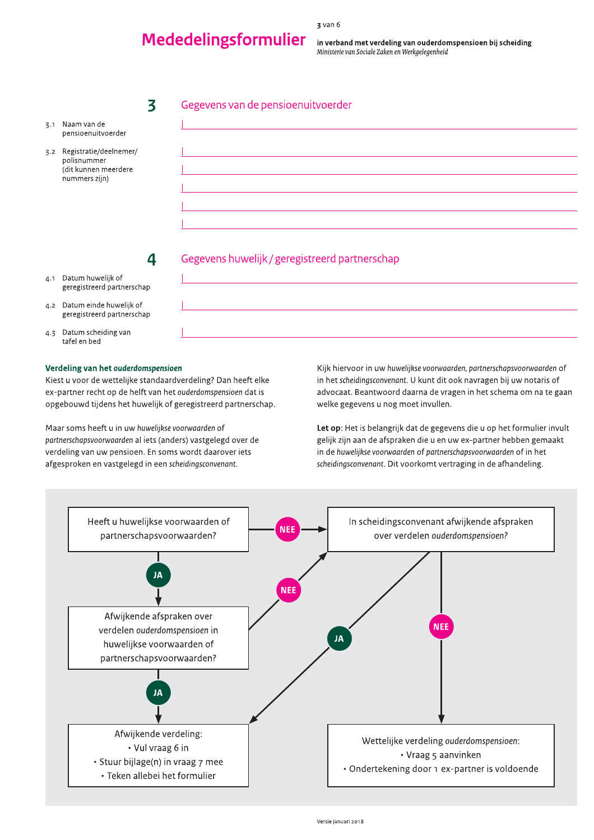## **Mededelingsformulier**

in verband met verdeling van ouderdomspensioen bij scheiding Ministerie van Sociale Zaken en Werkgelegenheid

### Gegevens van de pensioenuitvoerder

- 3.1 Naam van de pensioenuitvoerder
- 3.2 Registratie/deelnemer/ polisnummer (dit kunnen meerdere nummers zijn)

Gegevens huwelijk / geregistreerd partnerschap

- 4.1 Datum huwelijk of geregistreerd partnerschap
- 4.2 Datum einde huwelijk of geregistreerd partnerschap
- 4.3 Datum scheiding van tafel en bed

#### Verdeling van het ouderdomspensioen

Kiest u voor de wettelijke standaardverdeling? Dan heeft elke ex-partner recht op de helft van het ouderdomspensioen dat is opgebouwd tijdens het huwelijk of geregistreerd partnerschap.

 $\overline{\mathbf{3}}$ 

 $\overline{\mathbf{a}}$ 

Maar soms heeft u in uw huwelijkse voorwaarden of partnerschapsvoorwaarden al iets (anders) vastgelegd over de verdeling van uw pensioen. En soms wordt daarover iets afgesproken en vastgelegd in een scheidingsconvenant.

Kijk hiervoor in uw huwelijkse voorwaarden, partnerschapsvoorwaarden of in het scheidingsconvenant. U kunt dit ook navragen bij uw notaris of advocaat. Beantwoord daarna de vragen in het schema om na te gaan welke gegevens u nog moet invullen.

Let op: Het is belangrijk dat de gegevens die u op het formulier invult gelijk zijn aan de afspraken die u en uw ex-partner hebben gemaakt in de huwelijkse voorwaarden of partnerschapsvoorwaarden of in het scheidingsconvenant. Dit voorkomt vertraging in de afhandeling.

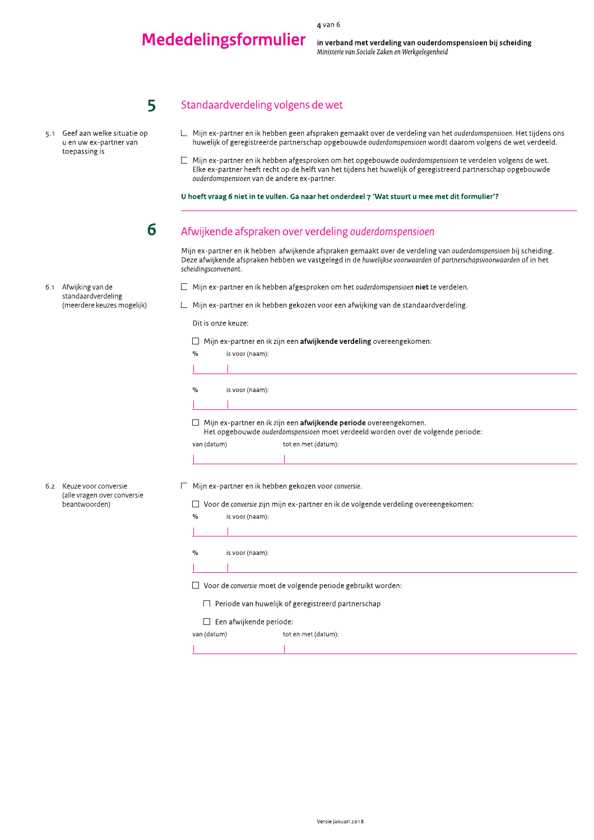4 van 6

in verband met verdeling van ouderdomspensioen bij scheid <sup>4 van 6</sup><br>
<sup>4 van 6</sup><br>
<sup>4 van 6</sup><br>
<sup>Ministerie van Sociale Zaken en Werkgelegenheid<br>
5<br>
5<br>
Standaardverdeling volgens de wet<br>
Partie van de verdeling van bet *querdemenering* Het tij<br>
Partie van te tradition van bet *querde</sup>* 

### Standaardverdeling volgens de wet

5.1 Geef aan welke situatie op u en uw ex-partner van toepassing is

 $\sqrt{5}$ 

- $\Box$  Mijn ex-partner en ik nebben geen afspraken gemaakt over de verdeling van het *ouderdomspensioen.* Het tijdens ons huwelijk of geregistreerde partnerschap opgebouwde ouderdomspensioen wordt daarom volgens de wet verdeeld.
- $\overline{a}$  $\Box$  Mijn ex-partner en ik hebben afgesproken om het opgebouwde ouderdomspensioen te verdelen volgens de wet. EIKe ex-partner heeft recht op de heift van het tijdens het huwelijk of geregistreerd partnerschap opgebouwde ouderdomspensioen van de andere ex-partner.

U hoeft vraag 6 niet in te vullen. Ga naar het onderdeel 7 'Wat stuurt u mee met dit formulier'?

 $\overline{a}$ 

### Afwijkende afspraken over verdeling ouderdomspensioen

Mijn ex-partner en ik hebben "atwijkende afspraken gemaakt over de verdeling van ouderdomspensioen bij scheiding. Deze atwijkende afspraken hebben we vastgelegd in de huwelijkse voorwaarden of partnerschapsvoorwaarden of in het scheidingsconvenant.

6.1 Afwijking van de standaardverdeling (meerdere keuzes mogelijk)

6.2 Keuze voor conversie (alle vragen over conversie beantwoorden)

- $\Box$  Mijn ex-partner en ik hebben afgesproken om het *ouderdomspensioen* **niet** te verdelen.
- Mijn ex-partner en ik hebben gekozen voor een afwijking van de standaardverdeling.

 $\mathbb{R}^2$ Dit is onze keuze:

 $\Box$  . Mijn ex-partner en ik zijn een **afwijkende verdeling** overeengekomen:

| $\%$                                                                                                                                                        | is voor (naam):                                                                    |  |  |
|-------------------------------------------------------------------------------------------------------------------------------------------------------------|------------------------------------------------------------------------------------|--|--|
|                                                                                                                                                             |                                                                                    |  |  |
| $\%$                                                                                                                                                        | is voor (naam):                                                                    |  |  |
|                                                                                                                                                             |                                                                                    |  |  |
| Mijn ex-partner en ik zijn een <b>afwijkende periode</b> overeengekomen.<br>Het opgebouwde ouderdomspensioen moet verdeeld worden over de volgende periode: |                                                                                    |  |  |
| van (datum)                                                                                                                                                 | tot en met (datum):                                                                |  |  |
|                                                                                                                                                             |                                                                                    |  |  |
|                                                                                                                                                             |                                                                                    |  |  |
|                                                                                                                                                             |                                                                                    |  |  |
|                                                                                                                                                             | Mijn ex-partner en ik hebben gekozen voor conversie.                               |  |  |
|                                                                                                                                                             | Voor de conversie zijn mijn ex-partner en ik de volgende verdeling overeengekomen: |  |  |
| $\frac{0}{0}$                                                                                                                                               | is voor (naam):                                                                    |  |  |

% is voor (naam):

 $\frac{1}{\sqrt{2}}$ 

 $\Box$  . Voor de conversie moet de volgende periode gebruikt worden:

 $\overline{\phantom{a}}$  $\Box$  . Periode van huwelijk of geregistreerd partnerschap

 $\Box$  Een afwijkende periode:

van (datum) tot en met (datum):

<u>in the contract of the contract of the contract of the contract of the contract of the contract of the contract of the contract of the contract of the contract of the contract of the contract of the contract of the contra</u>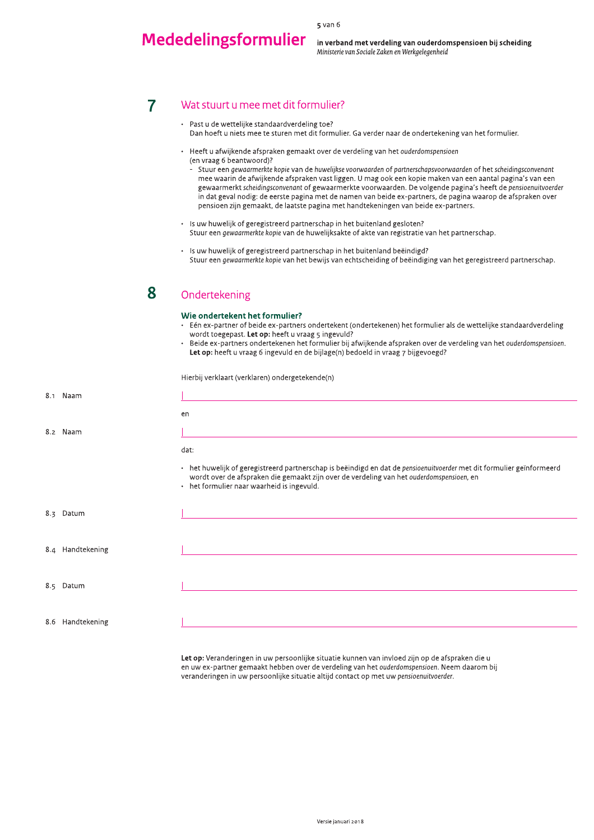5 van 6

in verband met verdeling van ouderdomspensioen bij scheid

#### Wat stuurt u mee met dit formulier?  $\overline{7}$

- <sup>5 van 6</sup><br>
<sup>5 van 6</sup><br>
Mededelingsformulier<br>
<sup>Ministerie van Sociale Zaken en Werkgelegenheid<br>
<sup>Ministerie van Sociale Zaken en Werkgelegenheid<br>
Pas tu de wettelijke standaardverdeling toe?<br>
Pas hoeft u piets mee te sturen </sup></sup> - Past u de wettelijke standaardverdeling toe?  $\overline{\phantom{a}}$ Dan hoeft û hiets mee te sturen met dit formulier. Ga verder naar de ondertekening van het formulier.
	- $\,$  Heeft u afwijkende afspraken gemaakt over de verdeling van het ouderdomspensioen (en vraag 6 beantwoord)?
		- $\,$  Stuur een gewaarmerkte kopie van de nuwelijkse voorwaarden of partnerschapsvoorwaarden of het scheidingsconvenant mee waarin de afwijkende afspraken vast liggen. U mag ook een kopie maken van een aantal pagina's van een van gewaarmerkt *scheidingsconvendnt o*f gewaarmerkte voorwaarden. De volgende pagina's heeft de p*ensloenuitvoerder* in dat geval nodig: de eerste pagina met de namen van beide ex-partners, de pagina waarop de afspraken over pensioen zijn gemaakt, de laatste pagina met handtekeningen van beide ex-partners.
	- Is uw huwelijk of geregistreerd partnerschap in het buitenland gesloten? Stuur een *gewaarmerkte kopie* van de huwelijksakte of akte van registratie van het partnerschap.
	- Is uw huwelijk of geregistreerd partnerschap in het buitenland beëindigd? Stuur een *gewaarmerkte kopie* van het bewijs van echtscheiding of beeindiging van het geregistreerd partnerschap.

#### Ondertekening  $\overline{\mathbf{S}}$

#### Wie ondertekent het formulier. r?

- Len ex-partner of beide ex-partners ondertekent (ondertekenen) het formulier als de wettelijke standaardverdeling wordt toegepast. **Let op:** heeft u vraag 5 ingevuld?
- Beide ex-partners ondertekenen het formulier bij afwijkende afspraken over de verdeling van het ouderdomspensioen. **Let op:** heeft u vraag 6 ingevuld en de bijlage(h) bedoeld in vraag 7 bijgevoegd*:*

Hierbij verklaart (verklaren) ondergetekende(n)

| 8.1 Naam         |                                                                                                                                                                                                                                                                 |
|------------------|-----------------------------------------------------------------------------------------------------------------------------------------------------------------------------------------------------------------------------------------------------------------|
|                  | en                                                                                                                                                                                                                                                              |
| 8.2 Naam         |                                                                                                                                                                                                                                                                 |
|                  | dat:                                                                                                                                                                                                                                                            |
|                  | • het huwelijk of geregistreerd partnerschap is beëindigd en dat de pensioenuitvoerder met dit formulier geïnformeerd<br>wordt over de afspraken die gemaakt zijn over de verdeling van het ouderdomspensioen, en<br>• het formulier naar waarheid is ingevuld. |
| 8.3 Datum        |                                                                                                                                                                                                                                                                 |
|                  |                                                                                                                                                                                                                                                                 |
| 8.4 Handtekening |                                                                                                                                                                                                                                                                 |
|                  |                                                                                                                                                                                                                                                                 |
| 8.5 Datum        |                                                                                                                                                                                                                                                                 |
|                  |                                                                                                                                                                                                                                                                 |
| 8.6 Handtekening |                                                                                                                                                                                                                                                                 |

**Let op:** Veranderingen in uw persoonlijke situatie kunnen van invloed zijn op de afspraken die u en uw ex-partner gemaakt hebben over de verdeling van het *ouderdomspensioen.* Neem daarom bij veranderingen in uw persoonlijke situatie altijd contact op met uw pensioenuitvoerder.